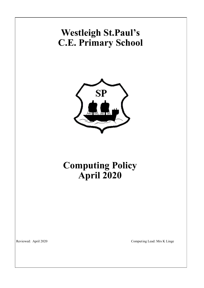# **Westleigh St.Paul's C.E. Primary School**



## **Computing Policy April 2020**

Reviewed: April 2020 Computing Lead: Mrs K Linge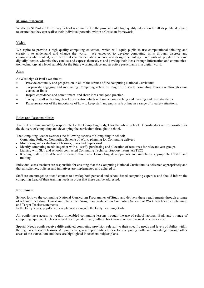#### **Mission Statement**

Westleigh St Paul's C.E. Primary School is committed to the provision of a high quality education for all its pupils, designed to ensure that they can realise their individual potential within a Christian framework.

#### **Vision**

We aspire to provide a high quality computing education, which will equip pupils to use computational thinking and creativity to understand and change the world. We endeavor to develop computing skills through discrete and cross-curricular context, with deep links to mathematics, science and design technology. We wish all pupils to become digitally literate, whereby they can use and express themselves and develop their ideas through Information and communication technology at a level suitable for the future working place and as active participants in a digital world.

### **Aims**

At Westleigh St Paul's we aim to:

- Provide continuity and progression in all of the strands of the computing National Curriculum
- To provide engaging and motivating Computing activities, taught in discrete computing lessons or through cross curricular links.
- Inspire confidence and commitment and share ideas and good practice.
- To equip staff with a high level of expertise which will impact on teaching and learning and raise standards.
- Raise awareness of the importance of how to keep staff and pupils safe online in a range of E-safety situations.

#### **Roles and Responsibilities**

The SLT are fundamentally responsible for the Computing budget for the whole school. Coordinators are responsible for the delivery of computing and developing the curriculum throughout school.

The Computing Leader oversees the following aspects of Computing in school:

- Computing Policies, Computing Scheme of Work, planning for Computing delivery
- Monitoring and evaluation of lessons, plans and pupils work
- Identify computing needs (together with all staff), purchasing and allocation of resources for relevant year groups
- Liaising with SLT and school's contracted Computing Technical Support Team (ABTEC)
- Keeping staff up to date and informed about new Computing developments and initiatives, appropriate INSET and training

Individual class teachers are responsible for ensuring that the Computing National Curriculum is delivered appropriately and that all schemes, policies and initiatives are implemented and adhered to.

Staff are encouraged to attend courses to develop both personal and school-based computing expertise and should inform the computing Lead of their training needs in order that these can be addressed.

#### **Entitlement**

School follows the computing National Curriculum Programmes of Study and delivers these requirements through a range of schemes including: Twinkl unit plans, the Rising Stars switched on Computing Scheme of Work, teachers own planning, and Target Tracker statements.

In the Early Years, pupil's work is planned alongside the Early Learning Goals.

All pupils have access to weekly timetabled computing lessons through the use of school laptops, IPads and a range of computing equipment. This is regardless of gender, race, cultural background or any physical or sensory need.

Special Needs pupils receive differentiated computing provision relevant to their specific needs and levels of ability within the regular classroom lessons. All pupils are given opportunities to develop computing skills and knowledge through other areas of the curriculum and these are highlighted in teachers' subject plans.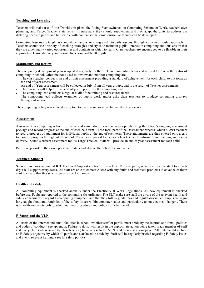#### **Teaching and Learning**

Teachers will make use of the Twinkl unit plans, the Rising Stars switched on Computing Scheme of Work, teachers own planning, and Target Tracker statements. If necessary they should supplement and / or adapt the units to address the differing needs of pupils and be flexible with content so that cross-curricular themes can be developed.

Computing lessons are taught as stand alone lessons, or intergrated into daily lessons, through a cross-curricular approach. Teachers should use a variety of teaching strategies and styles to maintain pupils' interest in computing and thus ensure that they are given many varied opportunities and contexts in which to learn. Class teachers are encouraged to be flexible in their approach to lesson delivery and format to accommodate all pupils.

#### **Monitoring, and Review**

The computing development plan is updated regularly by the SLT and computing team and is used to review the status of computing in school. Other methods used to review and monitor computing are:

- The class teacher conducts an end of unit assessment providing a standard of achievement for each child, to put towards the end of year assessment.
- An end of Year assessment will be collected in July, from all year groups, and is the result of Teacher assessments.
- These results will help form an end of year report from the computing lead.
- The computing lead conducts a regular audit of the training and resource needs
- The computing lead collects examples of pupils work and/or asks class teachers to produce computing displays throughout school.

The computing policy is reviewed every two to three years, or more frequently if necessary.

### **Assessment**

Assessment in computing is both formative and summative. Teachers assess pupils using the school's ongoing assessment package and record progress at the end of each half term. These form part of the assessment process, which allows teachers to record progress of attainment for individual pupils at the end of each term. These attainments are then entered onto a grid to monitor progress throughout the school. Records are passed to the next class teacher to inform future planning and lesson delivery. Schools current assessment tool is TargetTracker. Staff will provide an end of year assessment for each child.

Pupils keep work in their own personal folders and also on the schools shared area.

#### **Technical Support**

School purchases an annual ICT Technical Support contract from a local ICT company, which entitles the staff to a halfday's ICT support every week. All staff are able to contact ABtec with any faults and technical problems in advance of there visit to ensure that this service gives value for money.

#### **Health and safety**

All computing equipment is checked annually under the Electricity at Work Regulations. All new equipment is checked before use. Faults are reported to the computing Co-ordinator. The SLT make sure staff are aware of the relevant health and safety concerns with regard to computing equipment and that they follow guidelines and regulations issued. Pupils are regularly taught about and reminded of the safety issues within computer suites and particularly about electrical dangers. There is a health and safety policy, which outlines procedures and policy in further detail.

#### **E-Safety and the VLN**

All users of the Internet and email facilities in school, whether staff or pupils, must abide by the Internet and Email policies and codes of conduct - see appendix. Failure to do so will result in the appropriate action being taken. Each member of staff and every child (when issued by class teacher ) have access to the VLN and their class homepage. All units taught include an E-Safety objective by which all pupils and staff need to abide by. Staff will be regularly briefed regarding E-Safety issues and attend relevant training. (See E-Safety policy).